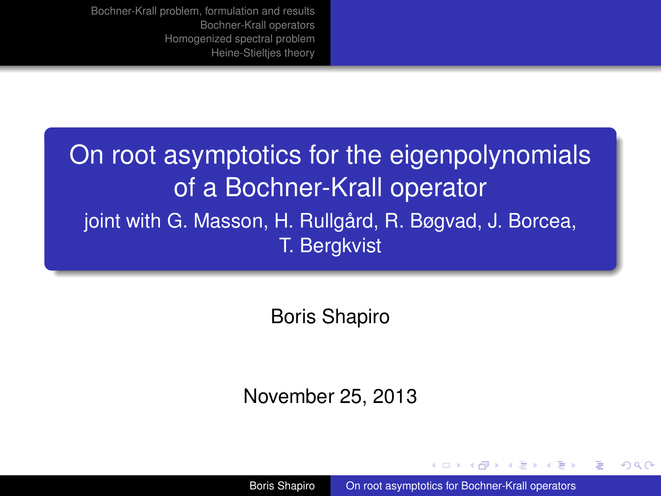# On root asymptotics for the eigenpolynomials of a Bochner-Krall operator joint with G. Masson, H. Rullgård, R. Bøgvad, J. Borcea, T. Bergkvist

Boris Shapiro

November 25, 2013

Boris Shapiro [On root asymptotics for Bochner-Krall operators](#page-34-0)

<span id="page-0-0"></span>イロメ イ押 メイヨメ イヨメ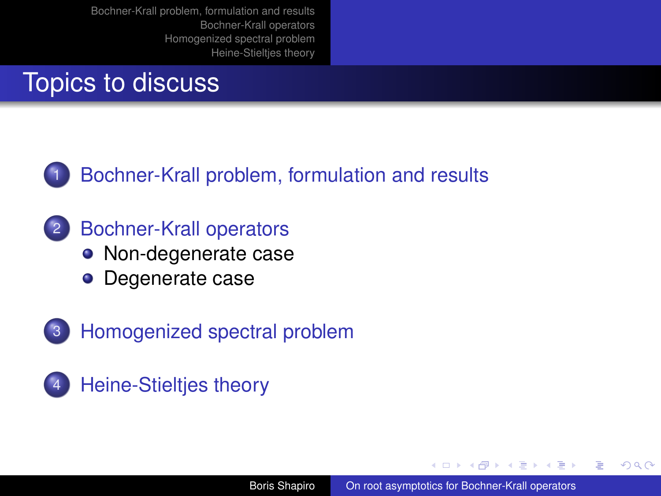# Topics to discuss



### [Bochner-Krall problem, formulation and results](#page-4-0)

- 2 [Bochner-Krall operators](#page-9-0)
	- [Non-degenerate case](#page-11-0)
	- [Degenerate case](#page-16-0)
- 3 [Homogenized spectral problem](#page-22-0)
- [Heine-Stieltjes theory](#page-27-0)

4 0 8  $\leftarrow$   $\leftarrow$  メラメメラト

 $QQ$ 

э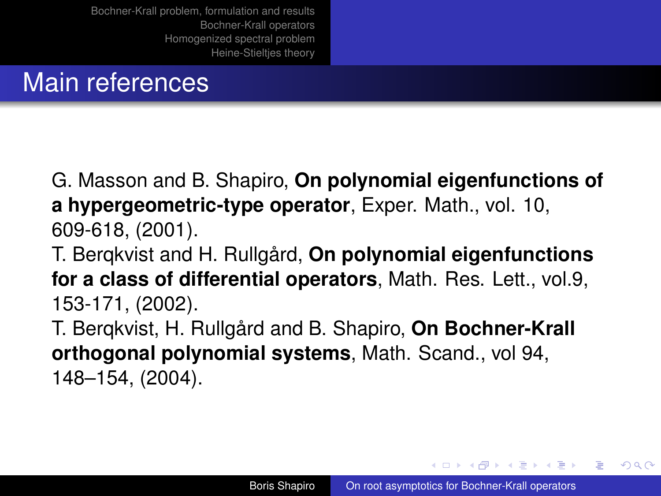## Main references

G. Masson and B. Shapiro, **On polynomial eigenfunctions of a hypergeometric-type operator**, Exper. Math., vol. 10, 609-618, (2001).

T. Berqkvist and H. Rullgård, **On polynomial eigenfunctions for a class of differential operators**, Math. Res. Lett., vol.9, 153-171, (2002).

T. Berqkvist, H. Rullgård and B. Shapiro, **On Bochner-Krall orthogonal polynomial systems**, Math. Scand., vol 94, 148–154, (2004).

イロメ イ押 メイヨメ イヨメ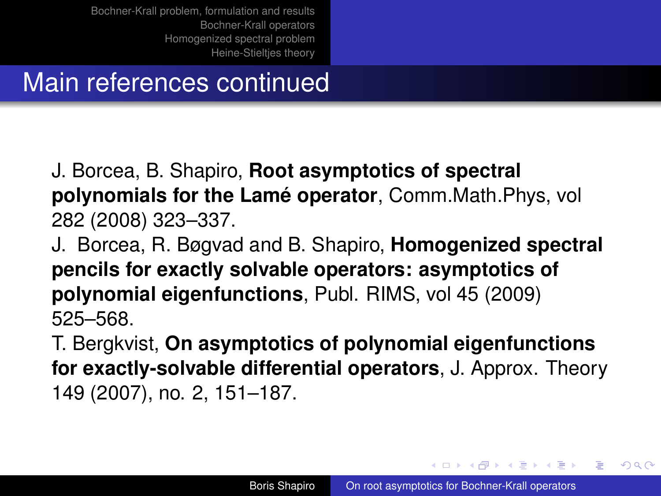# Main references continued

J. Borcea, B. Shapiro, **Root asymptotics of spectral polynomials for the Lamé operator**, Comm.Math.Phys, vol 282 (2008) 323–337.

J. Borcea, R. Bøgvad and B. Shapiro, **Homogenized spectral pencils for exactly solvable operators: asymptotics of polynomial eigenfunctions**, Publ. RIMS, vol 45 (2009) 525–568.

T. Bergkvist, **On asymptotics of polynomial eigenfunctions for exactly-solvable differential operators**, J. Approx. Theory 149 (2007), no. 2, 151–187.

(ロ) (個) (目) (手)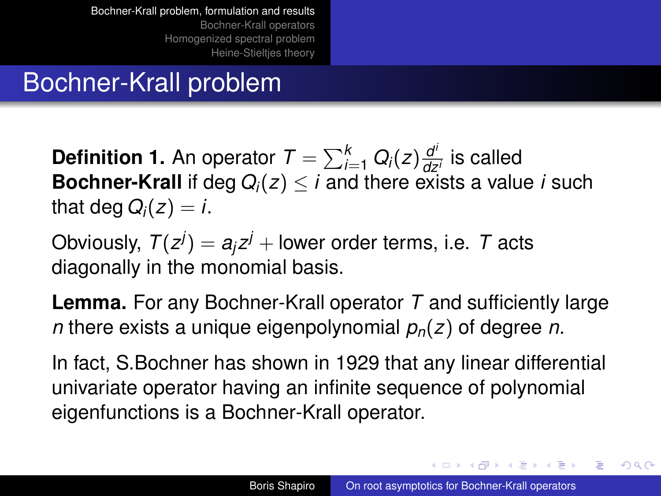# Bochner-Krall problem

**Definition 1.** An operator  $T = \sum_{i=1}^{k} Q_i(z) \frac{d^i}{dz^i}$ *dz<sup>i</sup>* is called **Bochner-Krall** if deg  $Q_i(z) \leq i$  and there exists a value *i* such that deg  $Q_i(z) = i$ .

Obviously,  $T(z^j) = a_j z^j + \text{lower order terms, i.e. } T \text{ acts}$ diagonally in the monomial basis.

**Lemma.** For any Bochner-Krall operator *T* and sufficiently large *n* there exists a unique eigenpolynomial *pn*(*z*) of degree *n*.

In fact, S.Bochner has shown in 1929 that any linear differential univariate operator having an infinite sequence of polynomial eigenfunctions is a Bochner-Krall operator.

イロト イ団 トイヨ トイヨ トー

<span id="page-4-0"></span>ă,  $QQ$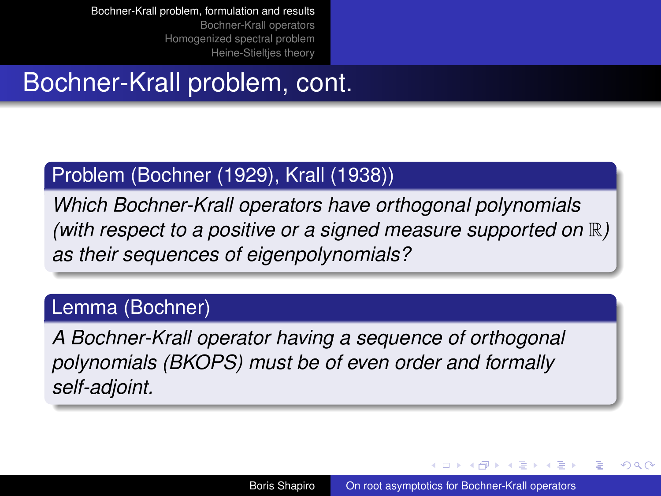# Bochner-Krall problem, cont.

#### Problem (Bochner (1929), Krall (1938))

*Which Bochner-Krall operators have orthogonal polynomials (with respect to a positive or a signed measure supported on* R*) as their sequences of eigenpolynomials?*

#### Lemma (Bochner)

*A Bochner-Krall operator having a sequence of orthogonal polynomials (BKOPS) must be of even order and formally self-adjoint.*

∢ ロ ▶ ∢ 何 ▶ ∢ 后 ▶ ∢ 后 ▶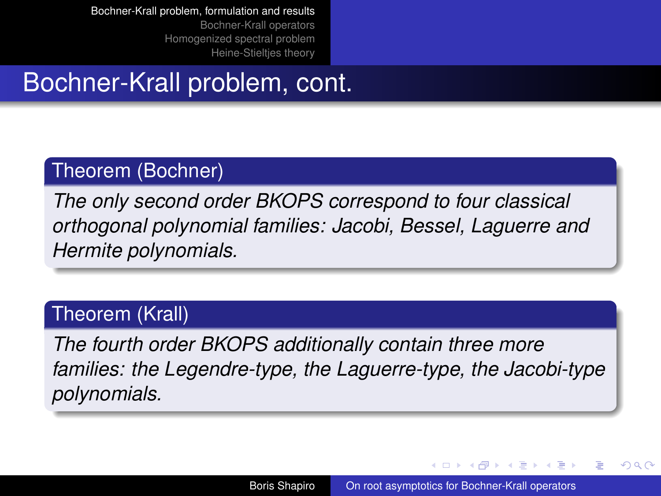# Bochner-Krall problem, cont.

#### Theorem (Bochner)

*The only second order BKOPS correspond to four classical orthogonal polynomial families: Jacobi, Bessel, Laguerre and Hermite polynomials.*

#### Theorem (Krall)

*The fourth order BKOPS additionally contain three more families: the Legendre-type, the Laguerre-type, the Jacobi-type polynomials.*

イロメ イ押 メイヨメ イヨメ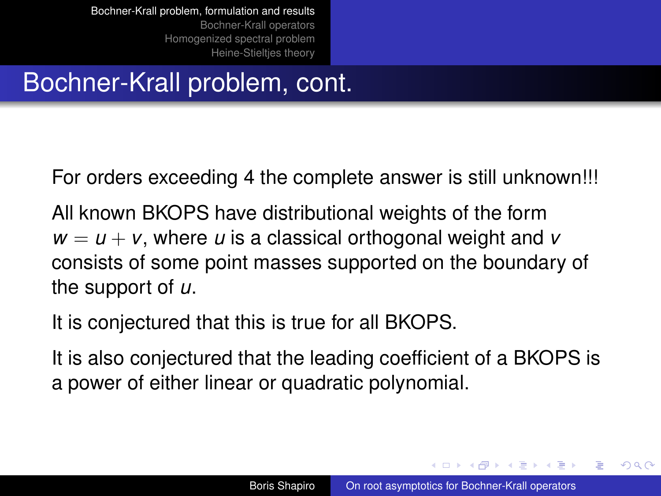# Bochner-Krall problem, cont.

For orders exceeding 4 the complete answer is still unknown!!!

All known BKOPS have distributional weights of the form  $w = u + v$ , where *u* is a classical orthogonal weight and *v* consists of some point masses supported on the boundary of the support of *u*.

It is conjectured that this is true for all BKOPS.

It is also conjectured that the leading coefficient of a BKOPS is a power of either linear or quadratic polynomial.

イロト イ押ト イヨト イヨト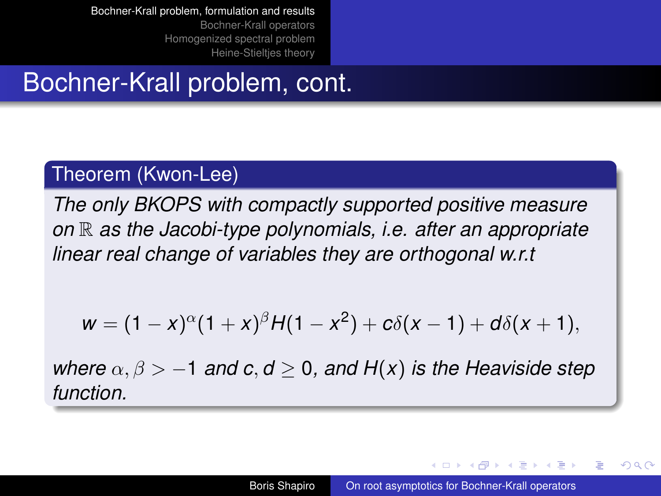# Bochner-Krall problem, cont.

#### Theorem (Kwon-Lee)

*The only BKOPS with compactly supported positive measure on* R *as the Jacobi-type polynomials, i.e. after an appropriate linear real change of variables they are orthogonal w.r.t*

$$
w = (1-x)^{\alpha}(1+x)^{\beta}H(1-x^2) + c\delta(x-1) + d\delta(x+1),
$$

*where*  $\alpha$ ,  $\beta$  > −1 *and*  $c$ ,  $d$  > 0, *and*  $H(x)$  *is the Heaviside step function.*

イロメ イ押 メイヨメ イヨメ

つへへ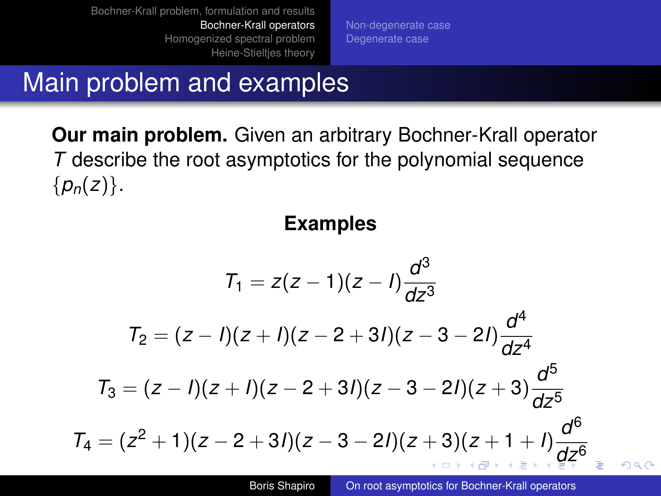[Non-degenerate case](#page-11-0) [Degenerate case](#page-16-0)

# Main problem and examples

**Our main problem.** Given an arbitrary Bochner-Krall operator *T* describe the root asymptotics for the polynomial sequence  $\{p_n(z)\}.$ 

#### <span id="page-9-0"></span>**Examples**

$$
T_1 = z(z - 1)(z - l)\frac{d^3}{dz^3}
$$
  
\n
$$
T_2 = (z - l)(z + l)(z - 2 + 3l)(z - 3 - 2l)\frac{d^4}{dz^4}
$$
  
\n
$$
T_3 = (z - l)(z + l)(z - 2 + 3l)(z - 3 - 2l)(z + 3)\frac{d^5}{dz^5}
$$
  
\n
$$
T_4 = (z^2 + 1)(z - 2 + 3l)(z - 3 - 2l)(z + 3)(z + 1 + l)\frac{d^6}{dz^6}
$$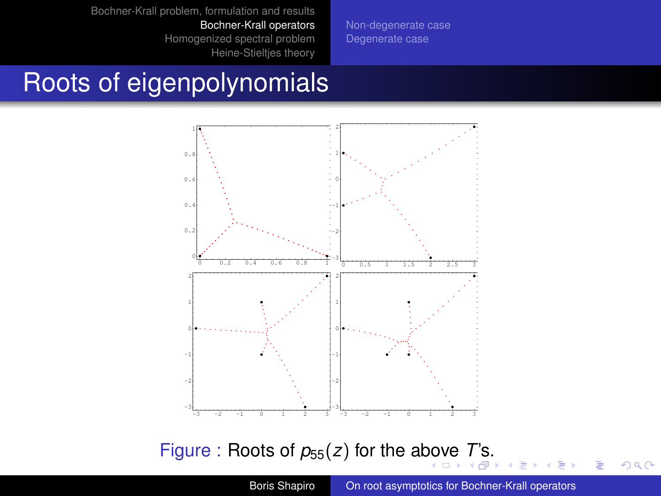[Non-degenerate case](#page-11-0) [Degenerate case](#page-16-0)

# Roots of eigenpolynomials



Figur[e](#page-11-0) : Roots of  $p_{55}(z)$  for the a[bov](#page-9-0)e *[T](#page-9-0)*['s.](#page-10-0)

<span id="page-10-0"></span> $290$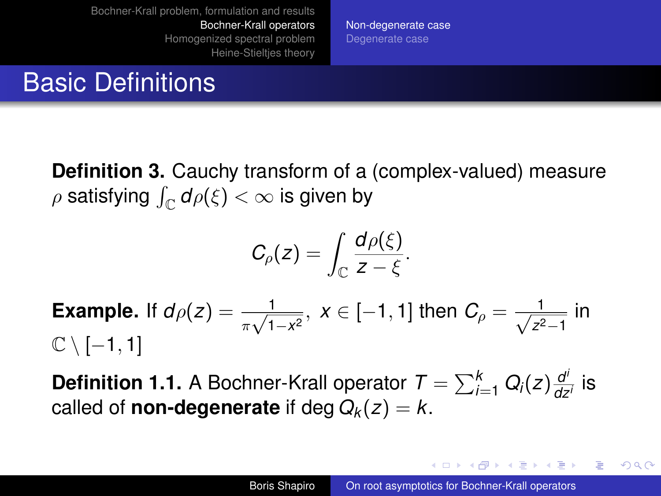[Non-degenerate case](#page-11-0) [Degenerate case](#page-16-0)

## Basic Definitions

**Definition 3.** Cauchy transform of a (complex-valued) measure  $\rho$  satisfying  $\int_{\mathbb C} d\rho(\xi) < \infty$  is given by

$$
C_{\rho}(z)=\int_{\mathbb{C}}\frac{d\rho(\xi)}{z-\xi}.
$$

**Example.** If  $d\rho(z) = \frac{1}{\pi\sqrt{1-x^2}}, x \in [-1,1]$  then  $C_\rho = \frac{1}{\sqrt{z^2}}$ <mark>⊥\_\_</mark> in  $\mathbb{C} \setminus [-1,1]$ 

**Definition 1.1.** A Bochner-Krall operator  $\mathcal{T} = \sum_{i=1}^k Q_i(z) \frac{d^i}{dz^i}$  $\frac{a}{dz^i}$  is called of **non-degenerate** if deg  $Q_k(z) = k$ .

メロメメ 御きメ 老き メ 悪き し

<span id="page-11-0"></span>÷.  $QQ$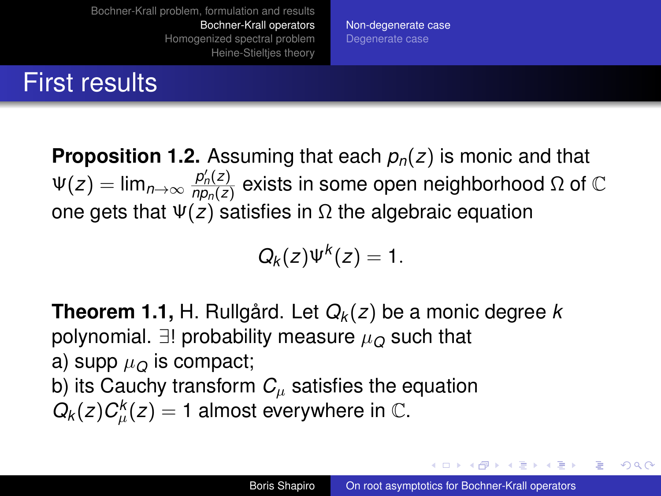First results

[Non-degenerate case](#page-11-0) [Degenerate case](#page-16-0)

#### **Proposition 1.2.** Assuming that each  $p_n(z)$  is monic and that  $\Psi(z) = \lim_{n \to \infty} \frac{p'_n(z)}{n p_n(z)}$  $\frac{p_n'(z)}{np_n(z)}$  exists in some open neighborhood Ω of  $\mathbb C$ one gets that  $\Psi(z)$  satisfies in  $\Omega$  the algebraic equation

$$
Q_k(z)\Psi^k(z)=1.
$$

**Theorem 1.1,** H. Rullgård. Let *Q<sup>k</sup>* (*z*) be a monic degree *k* polynomial.  $∃!$  probability measure  $\mu_0$  such that a) supp  $\mu_{\Omega}$  is compact: b) its Cauchy transform  $C_{\mu}$  satisfies the equation  $Q_k(z)C^k_\mu(z)=1$  almost everywhere in  $\mathbb C.$ 

イロト イ団 トイヨ トイヨ トー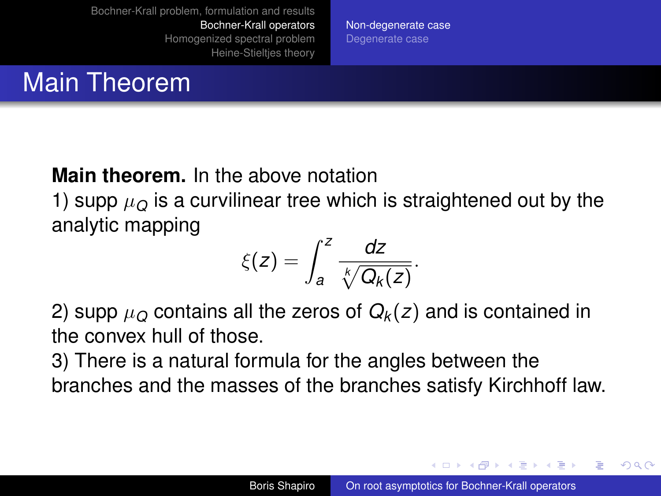[Non-degenerate case](#page-11-0) [Degenerate case](#page-16-0)

## Main Theorem

#### **Main theorem.** In the above notation

1) supp  $\mu_{\Omega}$  is a curvilinear tree which is straightened out by the analytic mapping

$$
\xi(z)=\int_a^z\frac{dz}{\sqrt[k]{Q_k(z)}}.
$$

2) supp  $\mu_{\Omega}$  contains all the zeros of  $Q_k(z)$  and is contained in the convex hull of those.

3) There is a natural formula for the angles between the branches and the masses of the branches satisfy Kirchhoff law.

イロト イ押 トイヨ トイヨ トー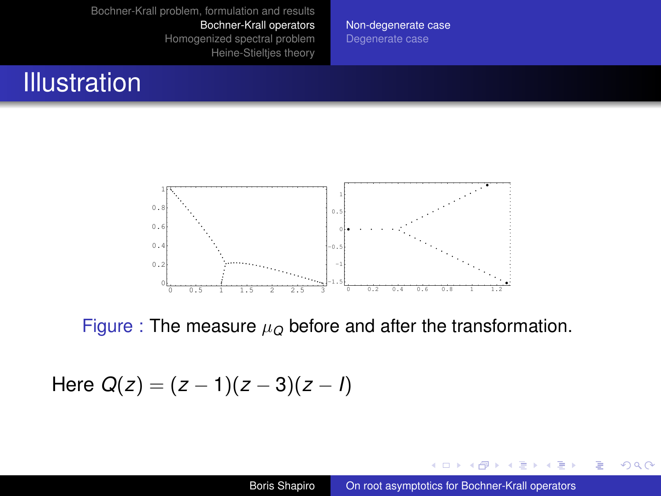[Non-degenerate case](#page-11-0) [Degenerate case](#page-16-0)

## **Illustration**



Figure : The measure  $\mu_Q$  before and after the transformation.

Here  $Q(z) = (z - 1)(z - 3)(z - 1)$ 

(ロ) (伊)

 $2990$ 

<span id="page-14-0"></span>B

 $\rightarrow$  3  $\pm$  3  $\rightarrow$ 

一 三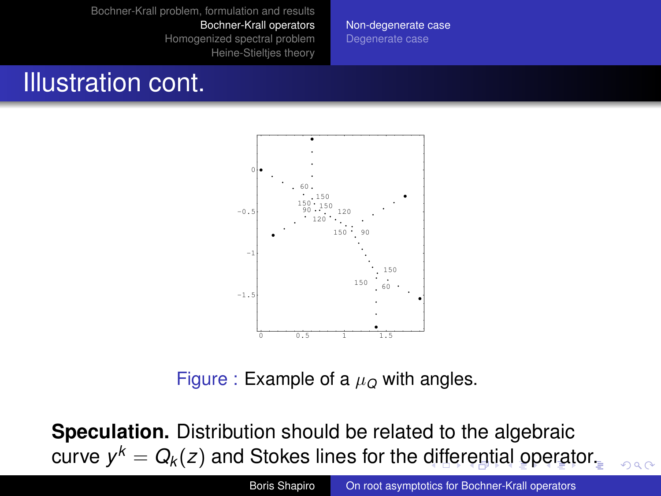[Non-degenerate case](#page-11-0) [Degenerate case](#page-16-0)

## Illustration cont.



Figure : Example of a  $\mu<sub>O</sub>$  with angles.

**Speculation.** Distribution should be related to the algebraic  $\mathsf{curve} \; \mathsf{y}^k = \mathsf{Q}_k(z)$  $\mathsf{curve} \; \mathsf{y}^k = \mathsf{Q}_k(z)$  $\mathsf{curve} \; \mathsf{y}^k = \mathsf{Q}_k(z)$  $\mathsf{curve} \; \mathsf{y}^k = \mathsf{Q}_k(z)$  $\mathsf{curve} \; \mathsf{y}^k = \mathsf{Q}_k(z)$  and Stokes lines for the [dif](#page-14-0)f[er](#page-0-0)e[nt](#page-15-0)[i](#page-16-0)[al](#page-0-0) [op](#page-34-0)erat[or.](#page-0-0)

<span id="page-15-0"></span> $298$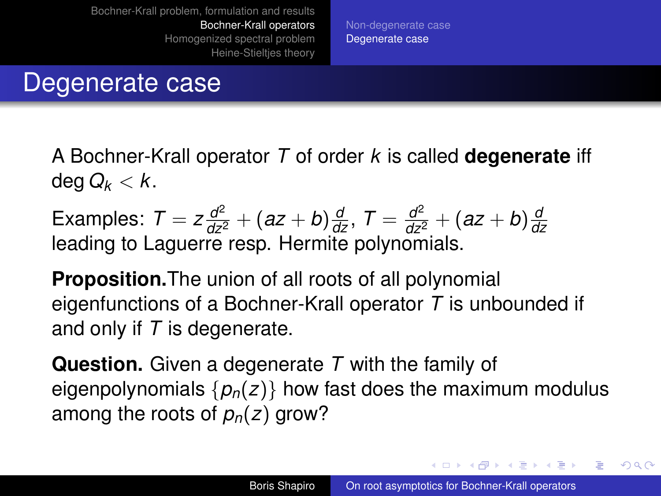[Non-degenerate case](#page-11-0) [Degenerate case](#page-16-0)

## Degenerate case

A Bochner-Krall operator *T* of order *k* is called **degenerate** iff deg  $Q_k < k$ .

Examples:  $T = z \frac{d^2}{dz^2} + (az + b) \frac{d}{dz}, T = \frac{d^2}{dz^2} + (az + b) \frac{d}{dz}$ *dz* leading to Laguerre resp. Hermite polynomials.

**Proposition.**The union of all roots of all polynomial eigenfunctions of a Bochner-Krall operator *T* is unbounded if and only if *T* is degenerate.

**Question.** Given a degenerate *T* with the family of eigenpolynomials  $\{p_n(z)\}\$  how fast does the maximum modulus among the roots of  $p_n(z)$  grow?

イロト イ団 トイヨ トイヨ トー

<span id="page-16-0"></span>ă,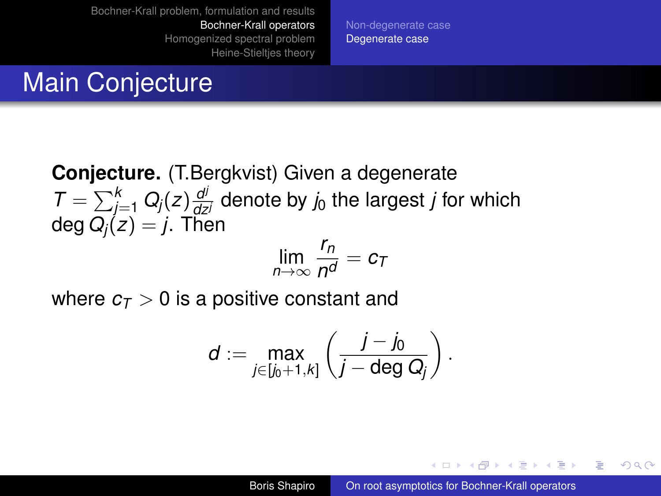[Non-degenerate case](#page-11-0) [Degenerate case](#page-16-0)

## Main Conjecture

**Conjecture.** (T.Bergkvist) Given a degenerate  $T = \sum_{j=1}^{k} Q_j(z) \frac{d^j}{dz^j}$  denote by *j*<sub>0</sub> the largest *j* for which  $deg Q_i(z) = j$ . Then

$$
\lim_{n\to\infty}\frac{r_n}{n^d}=c_T
$$

where  $c_{\text{T}} > 0$  is a positive constant and

$$
d:=\max_{j\in [j_0+1,k]}\left(\frac{j-j_0}{j-\deg Q_j}\right).
$$

イロト イ団 トイヨ トイヨ トー

B

 $QQ$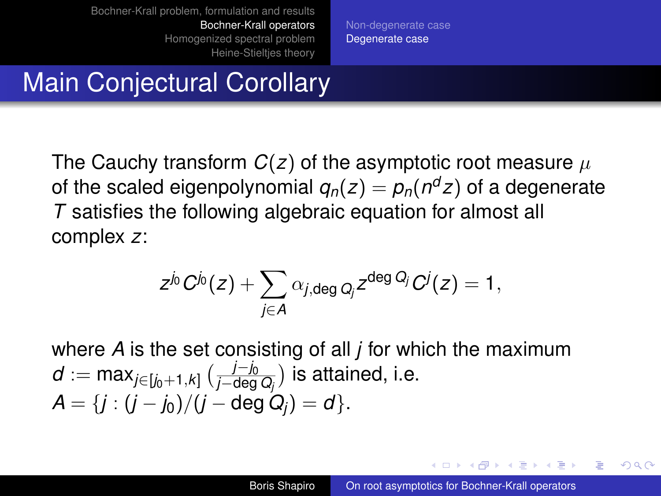[Non-degenerate case](#page-11-0) [Degenerate case](#page-16-0)

# Main Conjectural Corollary

The Cauchy transform  $C(z)$  of the asymptotic root measure  $\mu$ of the scaled eigenpolynomial  $q_n(z) = p_n(n^d z)$  of a degenerate *T* satisfies the following algebraic equation for almost all complex *z*:

$$
\mathsf{z}^{j_0}C^{j_0}(\mathsf{z})+\sum_{j\in\mathsf{A}}\alpha_{j,\mathsf{deg}\,Q_j}\mathsf{z}^{\mathsf{deg}\,Q_j}C^j(\mathsf{z})=1,
$$

where *A* is the set consisting of all *j* for which the maximum *d* := max<sub>*j*∈[*j*<sub>0</sub>+1,*k*] ( $\frac{j-j_0}{j-\deg}$ </sub> *j−l*eg*Q<sub>j</sub>*) is attained, i.e.  $A = \{j : (j - j_0)/(j - \deg Q_j) = d\}.$ 

イロト イ押 トイヨ トイヨ トー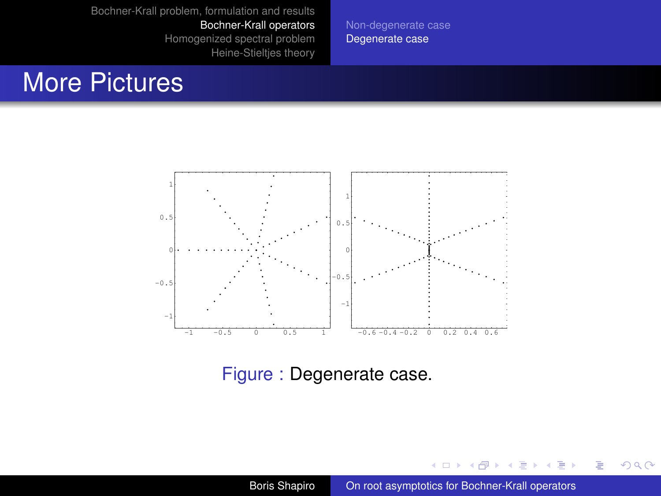[Degenerate case](#page-16-0)

## **More Pictures**



#### Figure : Degenerate case.

Boris Shapiro **[On root asymptotics for Bochner-Krall operators](#page-0-0)** 

 $\mathbf{y} \rightarrow \mathbf{z}$ 

E ×  $\mathcal{A}$ 

÷.

 $299$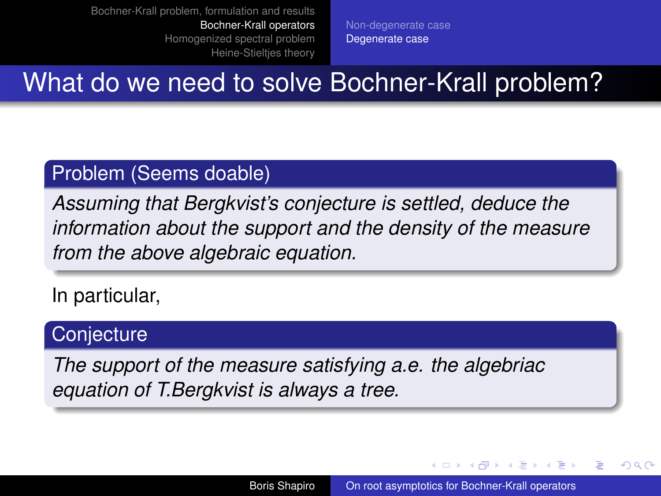[Non-degenerate case](#page-11-0) [Degenerate case](#page-16-0)

What do we need to solve Bochner-Krall problem?

#### Problem (Seems doable)

*Assuming that Bergkvist's conjecture is settled, deduce the information about the support and the density of the measure from the above algebraic equation.*

In particular,

#### **Conjecture**

*The support of the measure satisfying a.e. the algebriac equation of T.Bergkvist is always a tree.*

<span id="page-20-0"></span>イロト イ伊 トイヨ トイヨト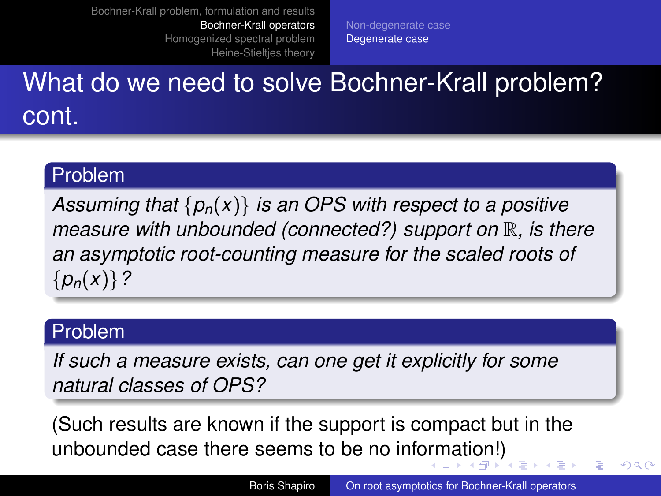[Non-degenerate case](#page-11-0) [Degenerate case](#page-16-0)

# What do we need to solve Bochner-Krall problem? cont.

#### Problem

*Assuming that* {*pn*(*x*)} *is an OPS with respect to a positive measure with unbounded (connected?) support on* R*, is there an asymptotic root-counting measure for the scaled roots of* {*pn*(*x*)}*?*

#### Problem

*If such a measure exists, can one get it explicitly for some natural classes of OPS?*

(Such results are known if the support is compact but in the unbounded case there seems to be no inf[orm](#page-20-0)[at](#page-22-0)[i](#page-20-0)[on](#page-21-0)[!\)](#page-22-0)

<span id="page-21-0"></span> $\Omega$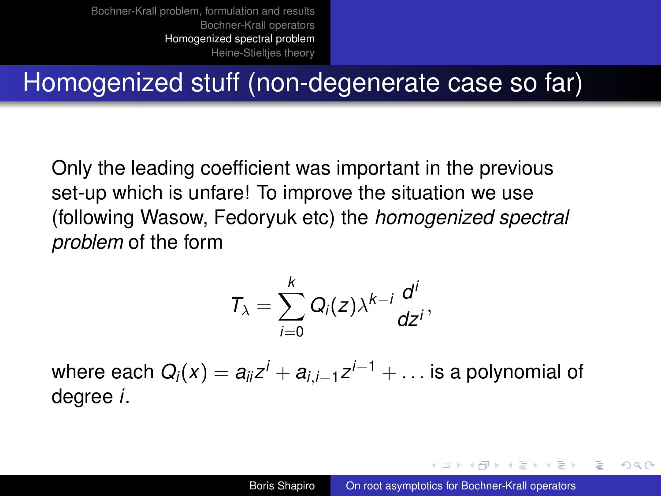# Homogenized stuff (non-degenerate case so far)

Only the leading coefficient was important in the previous set-up which is unfare! To improve the situation we use (following Wasow, Fedoryuk etc) the *homogenized spectral problem* of the form

$$
T_{\lambda}=\sum_{i=0}^k Q_i(z)\lambda^{k-i}\frac{d^i}{dz^i},
$$

where each  $Q_i(x) = a_{ii}z^i + a_{i,i-1}z^{i-1} + \ldots$  is a polynomial of degree *i*.

<span id="page-22-0"></span>イロト イ押 トイヨ トイヨ トー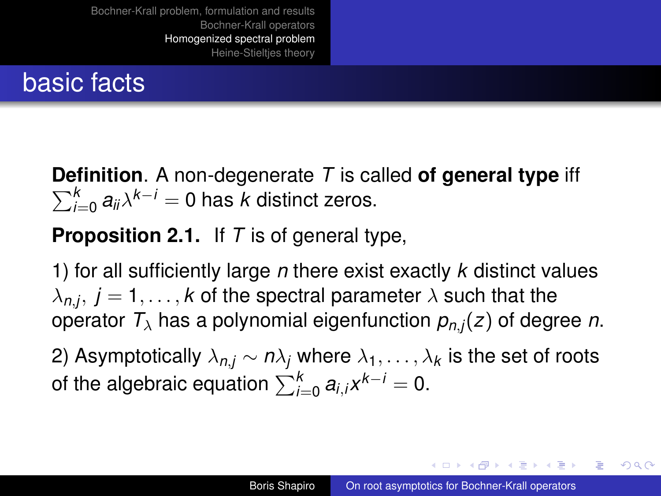## basic facts

**Definition** . A non-degenerate *T* is called **of general type** iff  $\sum_{i=1}^k$  $\sum_{i=0}^{k} a_{ii} \lambda^{k-i} = 0$  has *k* distinct zeros.

#### **Proposition 2.1.** If *T* is of general type,

1) for all sufficiently large *n* there exist exactly *k* distinct values  $\lambda_{n,j},\ j=1,\ldots,k$  of the spectral parameter  $\lambda$  such that the operator  $T_{\lambda}$  has a polynomial eigenfunction  $p_{n,i}(z)$  of degree *n*.

2) Asymptotically  $\lambda_{n,i} \sim n\lambda_i$  where  $\lambda_1, \ldots, \lambda_k$  is the set of roots of the algebraic equation  $\sum_{i=0}^k a_{i,i}x^{k-i}=0$ .

イロト イ押 トイヨ トイヨ トー

Þ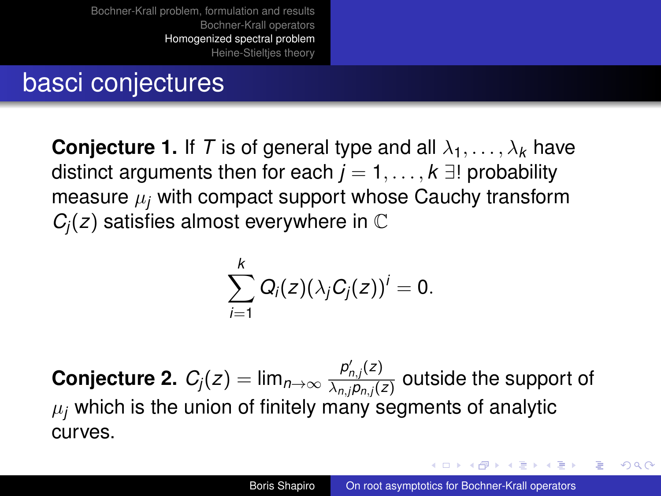## basci conjectures

**Conjecture 1.** If T is of general type and all  $\lambda_1, \ldots, \lambda_k$  have distinct arguments then for each  $j = 1, \ldots, k$   $\exists$ ! probability measure  $\mu_i$  with compact support whose Cauchy transform  $C_i(z)$  satisfies almost everywhere in  $\mathbb C$ 

$$
\sum_{i=1}^k Q_i(z)(\lambda_j C_j(z))^i = 0.
$$

 $\mathsf{Conjecture\ 2.}\ \mathcal{C}_j(z)=\mathsf{lim}_{n\to\infty}\frac{p'_{n,j}(z)}{\lambda_n\cdot\mathsf{Im}\ n(z)}$  $\frac{\mu_{n,j}(z)}{\lambda_{n,j}\rho_{n,j}(z)}$  outside the support of  $\mu_i$  which is the union of finitely many segments of analytic curves.

イロト イ団 トイヨ トイヨ トー

<span id="page-24-0"></span>ă,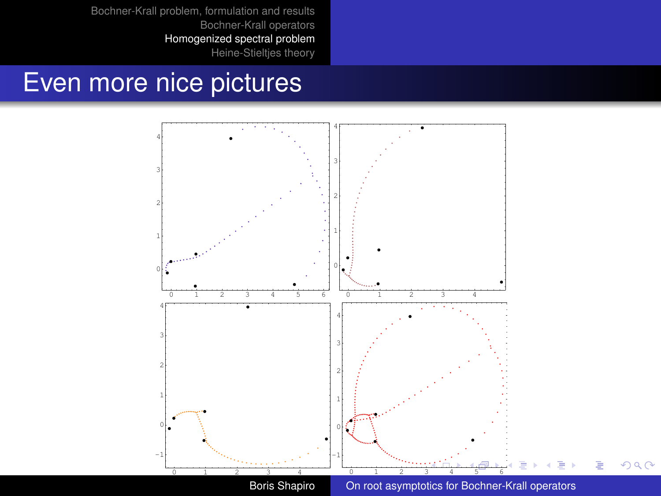## Even more nice pictures

<span id="page-25-0"></span>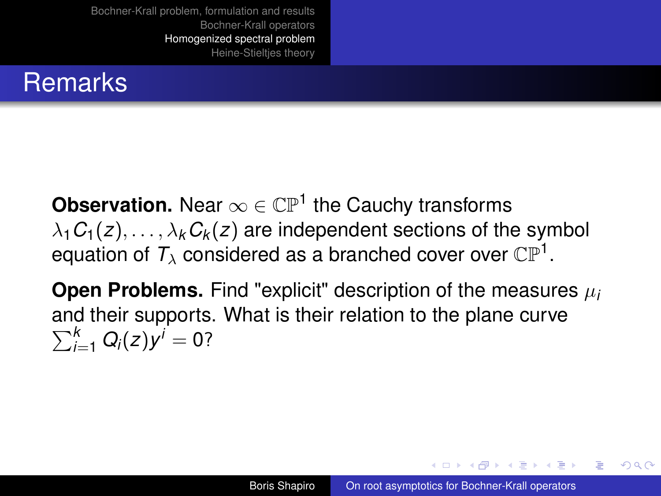# **Remarks**

**Observation.** Near  $\infty \in \mathbb{CP}^1$  the Cauchy transforms  $\lambda_1 C_1(z), \ldots, \lambda_k C_k(z)$  are independent sections of the symbol equation of  $\mathcal{T}_\lambda$  considered as a branched cover over  $\mathbb{CP}^1.$ 

**Open Problems.** Find "explicit" description of the measures  $\mu_i$ and their supports. What is their relation to the plane curve  $\sum_{i=1}^k Q_i(z) y^i = 0$ ?

<span id="page-26-0"></span>イロメ イ押 メイヨメ イヨメ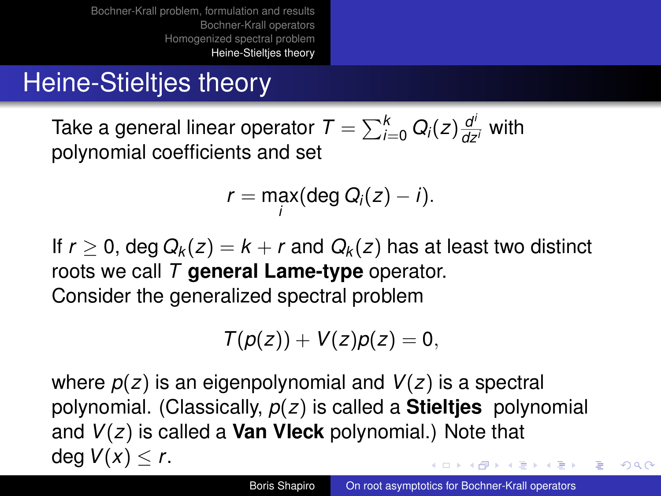# Heine-Stieltjes theory

Take a general linear operator  $\mathcal{T} = \sum_{i=0}^k Q_i(z) \frac{d^i}{dz^i}$  with polynomial coefficients and set

$$
r = \max_i (\deg Q_i(z) - i).
$$

If  $r > 0$ , deg  $Q_k(z) = k + r$  and  $Q_k(z)$  has at least two distinct roots we call *T* **general Lame-type** operator.

Consider the generalized spectral problem

$$
T(p(z)) + V(z)p(z) = 0,
$$

where *p*(*z*) is an eigenpolynomial and *V*(*z*) is a spectral polynomial. (Classically, *p*(*z*) is called a **Stieltjes** polynomial and *V*(*z*) is called a **Van Vleck** polynomial.) Note that deg  $V(x) < r$ . イロメ イ押 メイヨメ イヨメ

<span id="page-27-0"></span> $\Omega$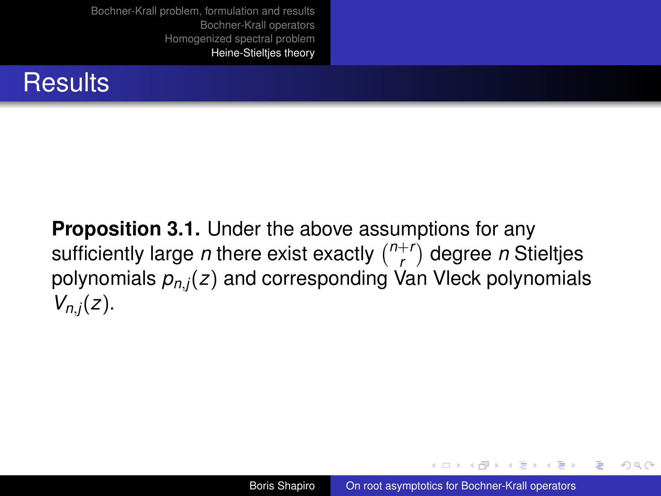

**Proposition 3.1.** Under the above assumptions for any sufficiently large *n* there exist exactly  $\binom{n+r}{r}$ *r* degree *n* Stieltjes polynomials *pn*,*j*(*z*) and corresponding Van Vleck polynomials *Vn*,*j*(*z*).

(ロ) (個) (目) (手)

 $2990$ 

ă,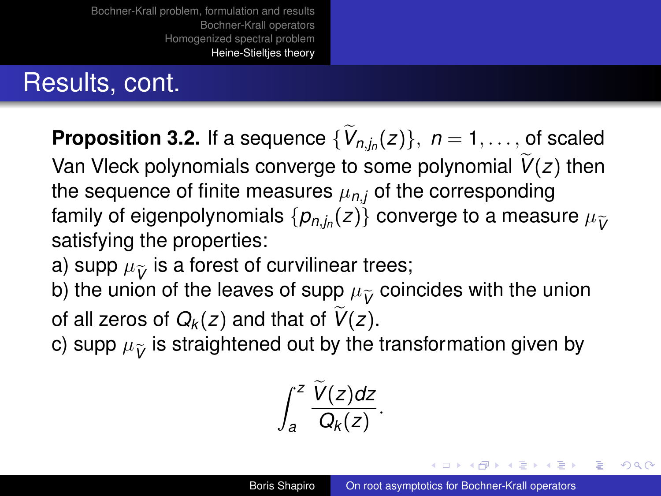# Results, cont.

**Proposition 3.2.** If a sequence  $\{V_{n,j_n}(z)\}, n = 1, \ldots,$  of scaled Van Vleck polynomials converge to some polynomial  $V(z)$  then the sequence of finite measures  $\mu_{n,i}$  of the corresponding family of eigenpolynomials  $\{p_{n,j_n}(z)\}$  converge to a measure  $\mu_{\widetilde{V}}$ <br>catiofying the proportion: satisfying the properties:

- a) supp  $\mu_{\widetilde{V}}$  is a forest of curvilinear trees;
- b) the union of the leaves of supp  $\mu_{\widetilde{V}}$  coincides with the union
- of all zeros of  $Q_k(z)$  and that of  $V(z)$ .
- c) supp  $\mu_{\tilde{\nu}}$  is straightened out by the transformation given by

$$
\int_a^z \frac{\widetilde{V}(z)dz}{Q_k(z)}.
$$

イロメ イ押 メイヨメ イヨメ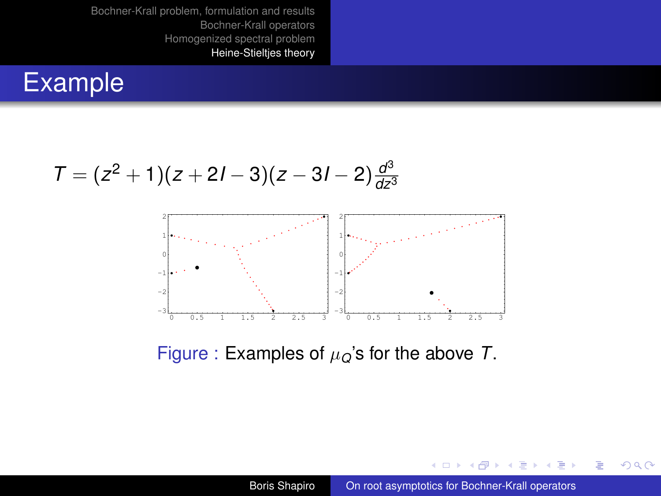## Example

$$
T = (z^2 + 1)(z + 2l - 3)(z - 3l - 2)\frac{d^3}{dz^3}
$$



Figure : Examples of µ*Q*'s for the above *T*.

**Kロト K 伊** 

 $\mathbf{y} \rightarrow \mathbf{z}$ 

E ×  $\mathcal{A}$ 

÷.

 $299$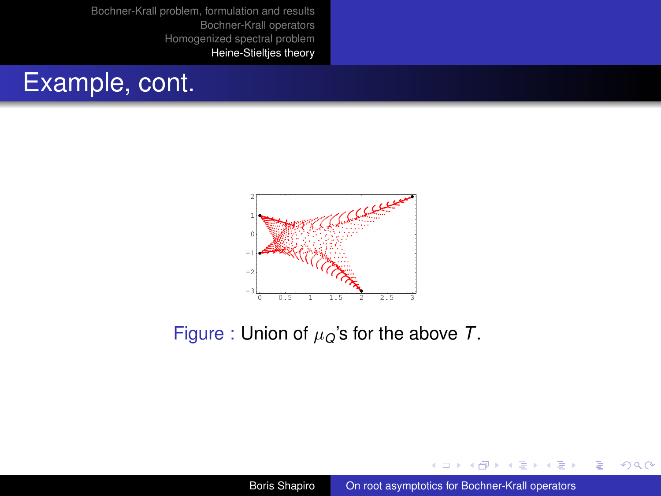



Figure : Union of  $\mu_Q$ 's for the above T.

 $\left\{ \begin{array}{ccc} 1 & 0 & 0 \\ 0 & 1 & 0 \end{array} \right.$ 

÷.

 $2990$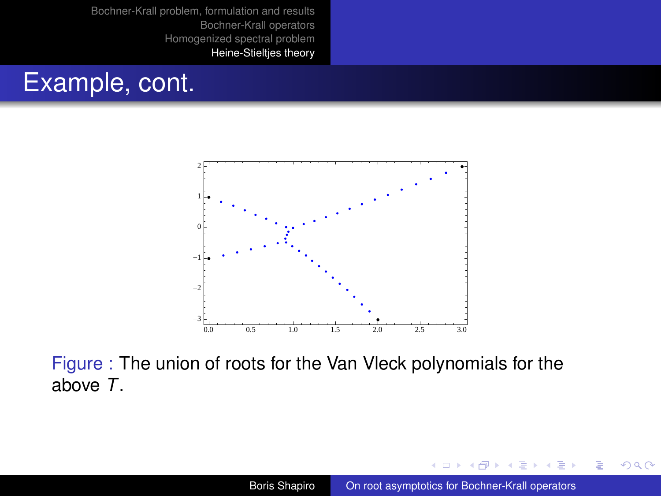



Figure : The union of roots for the Van Vleck polynomials for the above *T*.

4日 8 ×. 有  $2990$ 

重き ă,

×.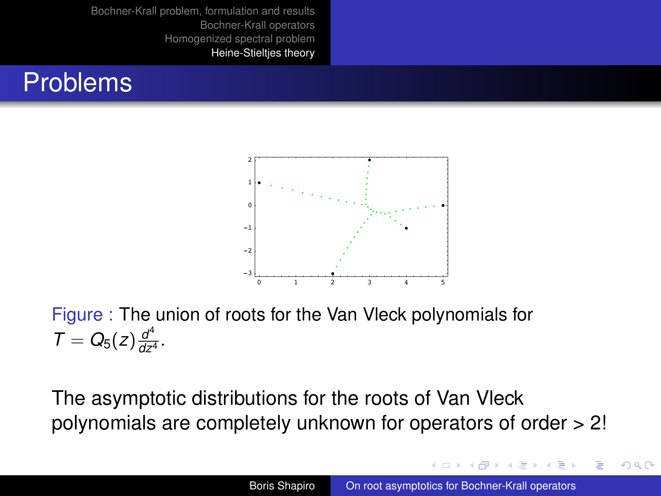



Figure : The union of roots for the Van Vleck polynomials for  $T = Q_5(z) \frac{d^4}{dz^4}$  $\frac{a}{dz^4}$ .

The asymptotic distributions for the roots of Van Vleck polynomials are completely unknown for operators of order > 2!

イロメ イ何 メイヨメ イヨメ

 $290$ 

ă